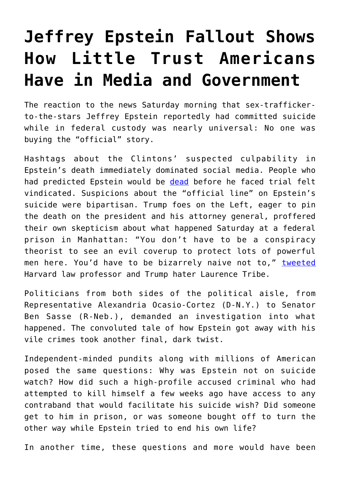## **[Jeffrey Epstein Fallout Shows](https://intellectualtakeout.org/2019/08/jeffrey-epstein-fallout-shows-how-little-trust-americans-have-in-media-and-government/) [How Little Trust Americans](https://intellectualtakeout.org/2019/08/jeffrey-epstein-fallout-shows-how-little-trust-americans-have-in-media-and-government/) [Have in Media and Government](https://intellectualtakeout.org/2019/08/jeffrey-epstein-fallout-shows-how-little-trust-americans-have-in-media-and-government/)**

The reaction to the news Saturday morning that sex-traffickerto-the-stars Jeffrey Epstein reportedly had committed suicide while in federal custody was nearly universal: No one was buying the "official" story.

Hashtags about the Clintons' suspected culpability in Epstein's death immediately dominated social media. People who had predicted Epstein would be [dead](https://www.thesun.co.uk/news/9605078/jeffrey-epsteins-life-in-jeopardy-pals-dont-want-secrets-out/) before he faced trial felt vindicated. Suspicions about the "official line" on Epstein's suicide were bipartisan. Trump foes on the Left, eager to pin the death on the president and his attorney general, proffered their own skepticism about what happened Saturday at a federal prison in Manhattan: "You don't have to be a conspiracy theorist to see an evil coverup to protect lots of powerful men here. You'd have to be bizarrely naive not to," [tweeted](https://twitter.com/tribelaw/status/1160307725483593729) Harvard law professor and Trump hater Laurence Tribe.

Politicians from both sides of the political aisle, from Representative Alexandria Ocasio-Cortez (D-N.Y.) to Senator Ben Sasse (R-Neb.), demanded an investigation into what happened. The convoluted tale of how Epstein got away with his vile crimes took another final, dark twist.

Independent-minded pundits along with millions of American posed the same questions: Why was Epstein not on suicide watch? How did such a high-profile accused criminal who had attempted to kill himself a few weeks ago have access to any contraband that would facilitate his suicide wish? Did someone get to him in prison, or was someone bought off to turn the other way while Epstein tried to end his own life?

In another time, these questions and more would have been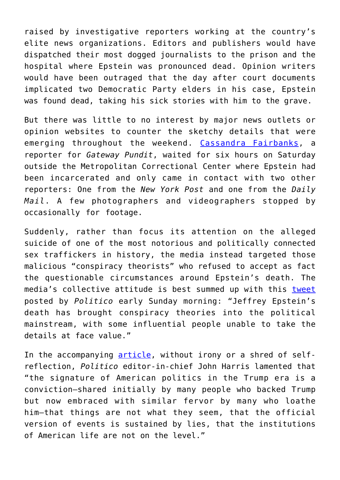raised by investigative reporters working at the country's elite news organizations. Editors and publishers would have dispatched their most dogged journalists to the prison and the hospital where Epstein was pronounced dead. Opinion writers would have been outraged that the day after court documents implicated two Democratic Party elders in his case, Epstein was found dead, taking his sick stories with him to the grave.

But there was little to no interest by major news outlets or opinion websites to counter the sketchy details that were emerging throughout the weekend. [Cassandra Fairbanks](https://twitter.com/cassandrarules/status/1160937398391451648?s=21), a reporter for *Gateway Pundit*, waited for six hours on Saturday outside the Metropolitan Correctional Center where Epstein had been incarcerated and only came in contact with two other reporters: One from the *New York Post* and one from the *Daily Mail*. A few photographers and videographers stopped by occasionally for footage.

Suddenly, rather than focus its attention on the alleged suicide of one of the most notorious and politically connected sex traffickers in history, the media instead targeted those malicious "conspiracy theorists" who refused to accept as fact the questionable circumstances around Epstein's death. The media's collective attitude is best summed up with this [tweet](https://twitter.com/politico/status/1160475967086837761?s=21) posted by *Politico* early Sunday morning: "Jeffrey Epstein's death has brought conspiracy theories into the political mainstream, with some influential people unable to take the details at face value."

In the accompanying [article,](https://www.politico.com/story/2019/08/10/jeffrey-epstein-death-conspiracy-theories-1456309) without irony or a shred of selfreflection, *Politico* editor-in-chief John Harris lamented that "the signature of American politics in the Trump era is a conviction—shared initially by many people who backed Trump but now embraced with similar fervor by many who loathe him—that things are not what they seem, that the official version of events is sustained by lies, that the institutions of American life are not on the level."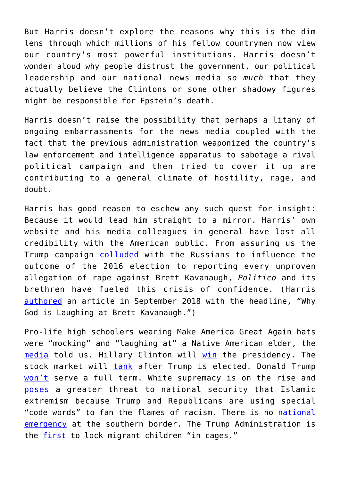But Harris doesn't explore the reasons why this is the dim lens through which millions of his fellow countrymen now view our country's most powerful institutions. Harris doesn't wonder aloud why people distrust the government, our political leadership and our national news media *so much* that they actually believe the Clintons or some other shadowy figures might be responsible for Epstein's death.

Harris doesn't raise the possibility that perhaps a litany of ongoing embarrassments for the news media coupled with the fact that the previous administration weaponized the country's law enforcement and intelligence apparatus to sabotage a rival political campaign and then tried to cover it up are contributing to a general climate of hostility, rage, and doubt.

Harris has good reason to eschew any such quest for insight: Because it would lead him straight to a mirror. Harris' own website and his media colleagues in general have lost all credibility with the American public. From assuring us the Trump campaign [colluded](https://www.politico.com/magazine/story/2019/01/13/trump-russia-collusion-putin-223973) with the Russians to influence the outcome of the 2016 election to reporting every unproven allegation of rape against Brett Kavanaugh, *Politico* and its brethren have fueled this crisis of confidence. (Harris [authored](https://www.politico.com/magazine/story/2018/09/17/kavanaugh-supreme-court-ford-sexual-assault-219983) an article in September 2018 with the headline, "Why God is Laughing at Brett Kavanaugh.")

Pro-life high schoolers wearing Make America Great Again hats were "mocking" and "laughing at" a Native American elder, the [media](https://www.politico.com/story/2019/01/21/native-american-washington-confrontation-1116643) told us. Hillary Clinton will [win](https://www.youtube.com/watch?v=p1-MAJfBvyA) the presidency. The stock market will [tank](https://www.politico.com/story/2016/10/donald-trump-wall-street-effect-markets-230164) after Trump is elected. Donald Trump [won't](https://www.newsweek.com/lot-republicans-think-trump-wont-finish-term-1251056) serve a full term. White supremacy is on the rise and [poses](https://amgreatness.com/2019/08/05/whats-really-behind-the-white-supremacy-terrorism-scare/) a greater threat to national security that Islamic extremism because Trump and Republicans are using special "code words" to fan the flames of racism. There is no [national](https://www.politico.com/magazine/story/2019/03/13/donald-trump-national-emergency-border-225781) [emergency](https://www.politico.com/magazine/story/2019/03/13/donald-trump-national-emergency-border-225781) at the southern border. The Trump Administration is the [first](https://amgreatness.com/2018/05/29/twitter-weeps-over-migrant-children-in-cages-until-they-find-out-obama-did-it/) to lock migrant children "in cages."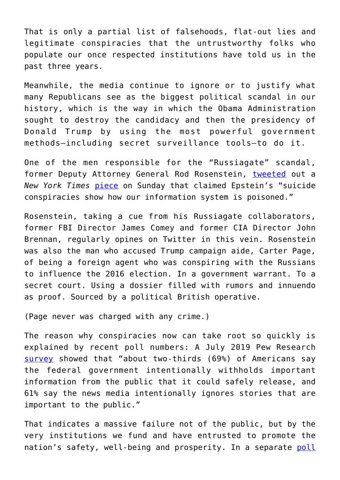That is only a partial list of falsehoods, flat-out lies and legitimate conspiracies that the untrustworthy folks who populate our once respected institutions have told us in the past three years.

Meanwhile, the media continue to ignore or to justify what many Republicans see as the biggest political scandal in our history, which is the way in which the Obama Administration sought to destroy the candidacy and then the presidency of Donald Trump by using the most powerful government methods—including secret surveillance tools—to do it.

One of the men responsible for the "Russiagate" scandal, former Deputy Attorney General Rod Rosenstein, [tweeted](https://twitter.com/rodrosenstein/status/1160763621833629696?s=21) out a *New York Times* [piece](https://www.nytimes.com/2019/08/11/opinion/jeffrey-epstein-suicide-conspiracies.html) on Sunday that claimed Epstein's "suicide conspiracies show how our information system is poisoned."

Rosenstein, taking a cue from his Russiagate collaborators, former FBI Director James Comey and former CIA Director John Brennan, regularly opines on Twitter in this vein. Rosenstein was also the man who accused Trump campaign aide, Carter Page, of being a foreign agent who was conspiring with the Russians to influence the 2016 election. In a government warrant. To a secret court. Using a dossier filled with rumors and innuendo as proof. Sourced by a political British operative.

(Page never was charged with any crime.)

The reason why conspiracies now can take root so quickly is explained by recent poll numbers: A July 2019 Pew Research [survey](https://www.pewresearch.org/fact-tank/2019/07/22/key-findings-about-americans-declining-trust-in-government-and-each-other/) showed that "about two-thirds (69%) of Americans say the federal government intentionally withholds important information from the public that it could safely release, and 61% say the news media intentionally ignores stories that are important to the public."

That indicates a massive failure not of the public, but by the very institutions we fund and have entrusted to promote the nation's safety, well-being and prosperity. In a separate [poll](https://morningconsult.com/wp-content/uploads/2019/08/190816_crosstabs_POLITICO_RVs_v2_JB.pdf)